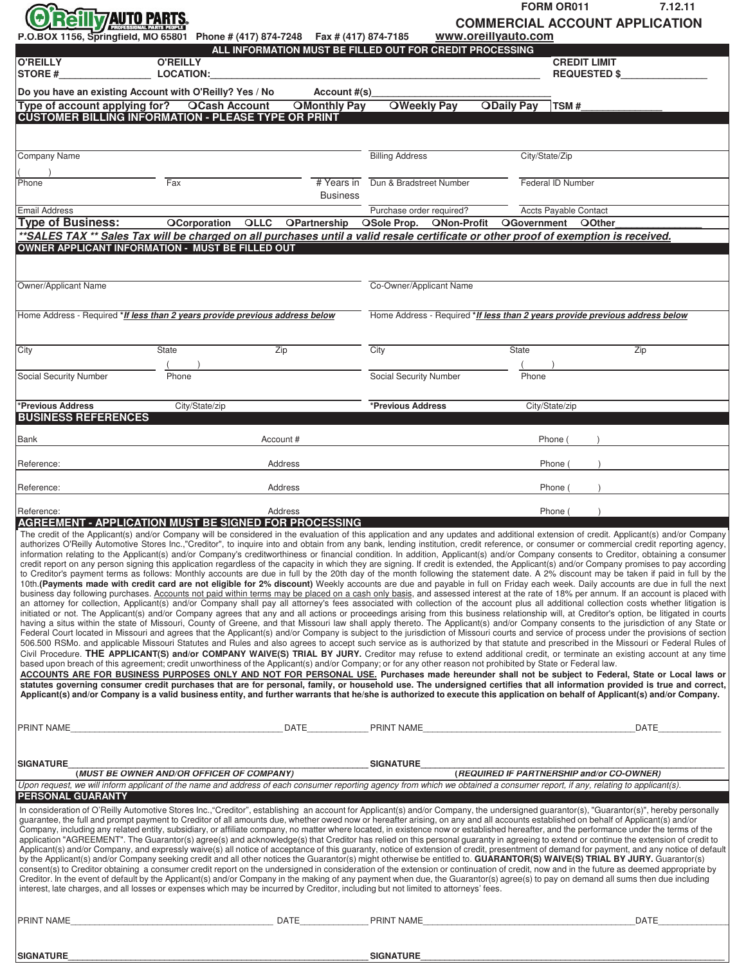| <b>J. REILIVAUTO PARTS.</b> |  |  |  |
|-----------------------------|--|--|--|
|-----------------------------|--|--|--|

**FORM OR011 7.12.11**

|             | <b>COMMERCIAL ACCOUNT APPLICATION</b> |
|-------------|---------------------------------------|
| 7) 874-7185 | www.oreillyauto.com                   |

**P.O.BOX 1156, Springfield, MO 65801 Phone # (417) 874-7248 Fax # (417) 874-7185** 

|  |  |  |  |              | טטטא <b>ם או</b> טורווו |  |  |
|--|--|--|--|--------------|-------------------------|--|--|
|  |  |  |  | illyauto.com |                         |  |  |

| <b>O'REILLY</b><br>STORE #                                                                                                                                                                                                                                                                                                                                                                                                                                                                                                                                                                                                                                                                                                                                                                                                                                                                                                                                                                                                                                                                                                                                                                                                                                                                                                                                                                                                                                                                                                                                                                                                                                                                                                                                                                                                                                                                                                                                                                                                                                                                                                                                                                                                                                                                                                                                                                                                                                                                                                                                                                                                                                                                                                                                                                                                                                                                                                                                                                                                                                                                                                                                                                                                                            | <b>O'REILLY</b><br><b>LOCATION:</b>                                                                                                                                                                                                                                                                                                                                                                                                                                                                                                                                                                                                                                                                                                                                                                                                                                                                                                                                                                                                                                                                                                                                                                                                                                                                                                                                                                                                                                                                                                                                                                                                                                      | ALL INFORMATION MUST BE FILLED OUT FOR CREDIT PROCESSING                     | <b>CREDIT LIMIT</b><br><b>REQUESTED \$</b> |  |  |
|-------------------------------------------------------------------------------------------------------------------------------------------------------------------------------------------------------------------------------------------------------------------------------------------------------------------------------------------------------------------------------------------------------------------------------------------------------------------------------------------------------------------------------------------------------------------------------------------------------------------------------------------------------------------------------------------------------------------------------------------------------------------------------------------------------------------------------------------------------------------------------------------------------------------------------------------------------------------------------------------------------------------------------------------------------------------------------------------------------------------------------------------------------------------------------------------------------------------------------------------------------------------------------------------------------------------------------------------------------------------------------------------------------------------------------------------------------------------------------------------------------------------------------------------------------------------------------------------------------------------------------------------------------------------------------------------------------------------------------------------------------------------------------------------------------------------------------------------------------------------------------------------------------------------------------------------------------------------------------------------------------------------------------------------------------------------------------------------------------------------------------------------------------------------------------------------------------------------------------------------------------------------------------------------------------------------------------------------------------------------------------------------------------------------------------------------------------------------------------------------------------------------------------------------------------------------------------------------------------------------------------------------------------------------------------------------------------------------------------------------------------------------------------------------------------------------------------------------------------------------------------------------------------------------------------------------------------------------------------------------------------------------------------------------------------------------------------------------------------------------------------------------------------------------------------------------------------------------------------------------------------|--------------------------------------------------------------------------------------------------------------------------------------------------------------------------------------------------------------------------------------------------------------------------------------------------------------------------------------------------------------------------------------------------------------------------------------------------------------------------------------------------------------------------------------------------------------------------------------------------------------------------------------------------------------------------------------------------------------------------------------------------------------------------------------------------------------------------------------------------------------------------------------------------------------------------------------------------------------------------------------------------------------------------------------------------------------------------------------------------------------------------------------------------------------------------------------------------------------------------------------------------------------------------------------------------------------------------------------------------------------------------------------------------------------------------------------------------------------------------------------------------------------------------------------------------------------------------------------------------------------------------------------------------------------------------|------------------------------------------------------------------------------|--------------------------------------------|--|--|
| Do you have an existing Account with O'Reilly? Yes / No                                                                                                                                                                                                                                                                                                                                                                                                                                                                                                                                                                                                                                                                                                                                                                                                                                                                                                                                                                                                                                                                                                                                                                                                                                                                                                                                                                                                                                                                                                                                                                                                                                                                                                                                                                                                                                                                                                                                                                                                                                                                                                                                                                                                                                                                                                                                                                                                                                                                                                                                                                                                                                                                                                                                                                                                                                                                                                                                                                                                                                                                                                                                                                                               | Account #(s)                                                                                                                                                                                                                                                                                                                                                                                                                                                                                                                                                                                                                                                                                                                                                                                                                                                                                                                                                                                                                                                                                                                                                                                                                                                                                                                                                                                                                                                                                                                                                                                                                                                             |                                                                              |                                            |  |  |
| Type of account applying for? OCash Account                                                                                                                                                                                                                                                                                                                                                                                                                                                                                                                                                                                                                                                                                                                                                                                                                                                                                                                                                                                                                                                                                                                                                                                                                                                                                                                                                                                                                                                                                                                                                                                                                                                                                                                                                                                                                                                                                                                                                                                                                                                                                                                                                                                                                                                                                                                                                                                                                                                                                                                                                                                                                                                                                                                                                                                                                                                                                                                                                                                                                                                                                                                                                                                                           | <b>OMonthly Pay</b>                                                                                                                                                                                                                                                                                                                                                                                                                                                                                                                                                                                                                                                                                                                                                                                                                                                                                                                                                                                                                                                                                                                                                                                                                                                                                                                                                                                                                                                                                                                                                                                                                                                      | <b>OWeekly Pay</b><br><b>ODaily Pay</b>                                      | TSM#                                       |  |  |
|                                                                                                                                                                                                                                                                                                                                                                                                                                                                                                                                                                                                                                                                                                                                                                                                                                                                                                                                                                                                                                                                                                                                                                                                                                                                                                                                                                                                                                                                                                                                                                                                                                                                                                                                                                                                                                                                                                                                                                                                                                                                                                                                                                                                                                                                                                                                                                                                                                                                                                                                                                                                                                                                                                                                                                                                                                                                                                                                                                                                                                                                                                                                                                                                                                                       | <b>CUSTOMER BILLING INFORMATION - PLEASE TYPE OR PRINT</b>                                                                                                                                                                                                                                                                                                                                                                                                                                                                                                                                                                                                                                                                                                                                                                                                                                                                                                                                                                                                                                                                                                                                                                                                                                                                                                                                                                                                                                                                                                                                                                                                               |                                                                              |                                            |  |  |
|                                                                                                                                                                                                                                                                                                                                                                                                                                                                                                                                                                                                                                                                                                                                                                                                                                                                                                                                                                                                                                                                                                                                                                                                                                                                                                                                                                                                                                                                                                                                                                                                                                                                                                                                                                                                                                                                                                                                                                                                                                                                                                                                                                                                                                                                                                                                                                                                                                                                                                                                                                                                                                                                                                                                                                                                                                                                                                                                                                                                                                                                                                                                                                                                                                                       |                                                                                                                                                                                                                                                                                                                                                                                                                                                                                                                                                                                                                                                                                                                                                                                                                                                                                                                                                                                                                                                                                                                                                                                                                                                                                                                                                                                                                                                                                                                                                                                                                                                                          |                                                                              |                                            |  |  |
| <b>Company Name</b>                                                                                                                                                                                                                                                                                                                                                                                                                                                                                                                                                                                                                                                                                                                                                                                                                                                                                                                                                                                                                                                                                                                                                                                                                                                                                                                                                                                                                                                                                                                                                                                                                                                                                                                                                                                                                                                                                                                                                                                                                                                                                                                                                                                                                                                                                                                                                                                                                                                                                                                                                                                                                                                                                                                                                                                                                                                                                                                                                                                                                                                                                                                                                                                                                                   |                                                                                                                                                                                                                                                                                                                                                                                                                                                                                                                                                                                                                                                                                                                                                                                                                                                                                                                                                                                                                                                                                                                                                                                                                                                                                                                                                                                                                                                                                                                                                                                                                                                                          | <b>Billing Address</b>                                                       | City/State/Zip                             |  |  |
| Phone                                                                                                                                                                                                                                                                                                                                                                                                                                                                                                                                                                                                                                                                                                                                                                                                                                                                                                                                                                                                                                                                                                                                                                                                                                                                                                                                                                                                                                                                                                                                                                                                                                                                                                                                                                                                                                                                                                                                                                                                                                                                                                                                                                                                                                                                                                                                                                                                                                                                                                                                                                                                                                                                                                                                                                                                                                                                                                                                                                                                                                                                                                                                                                                                                                                 | Fax<br># Years in<br><b>Business</b>                                                                                                                                                                                                                                                                                                                                                                                                                                                                                                                                                                                                                                                                                                                                                                                                                                                                                                                                                                                                                                                                                                                                                                                                                                                                                                                                                                                                                                                                                                                                                                                                                                     | Dun & Bradstreet Number                                                      | <b>Federal ID Number</b>                   |  |  |
| <b>Email Address</b>                                                                                                                                                                                                                                                                                                                                                                                                                                                                                                                                                                                                                                                                                                                                                                                                                                                                                                                                                                                                                                                                                                                                                                                                                                                                                                                                                                                                                                                                                                                                                                                                                                                                                                                                                                                                                                                                                                                                                                                                                                                                                                                                                                                                                                                                                                                                                                                                                                                                                                                                                                                                                                                                                                                                                                                                                                                                                                                                                                                                                                                                                                                                                                                                                                  |                                                                                                                                                                                                                                                                                                                                                                                                                                                                                                                                                                                                                                                                                                                                                                                                                                                                                                                                                                                                                                                                                                                                                                                                                                                                                                                                                                                                                                                                                                                                                                                                                                                                          | Purchase order required?                                                     | <b>Accts Payable Contact</b>               |  |  |
| <b>Type of Business:</b>                                                                                                                                                                                                                                                                                                                                                                                                                                                                                                                                                                                                                                                                                                                                                                                                                                                                                                                                                                                                                                                                                                                                                                                                                                                                                                                                                                                                                                                                                                                                                                                                                                                                                                                                                                                                                                                                                                                                                                                                                                                                                                                                                                                                                                                                                                                                                                                                                                                                                                                                                                                                                                                                                                                                                                                                                                                                                                                                                                                                                                                                                                                                                                                                                              | OCorporation<br>OLLC OPartnership                                                                                                                                                                                                                                                                                                                                                                                                                                                                                                                                                                                                                                                                                                                                                                                                                                                                                                                                                                                                                                                                                                                                                                                                                                                                                                                                                                                                                                                                                                                                                                                                                                        | OSole Prop. ONon-Profit<br><b>OGovernment</b>                                | OOther                                     |  |  |
|                                                                                                                                                                                                                                                                                                                                                                                                                                                                                                                                                                                                                                                                                                                                                                                                                                                                                                                                                                                                                                                                                                                                                                                                                                                                                                                                                                                                                                                                                                                                                                                                                                                                                                                                                                                                                                                                                                                                                                                                                                                                                                                                                                                                                                                                                                                                                                                                                                                                                                                                                                                                                                                                                                                                                                                                                                                                                                                                                                                                                                                                                                                                                                                                                                                       | **SALES TAX ** Sales Tax will be charged on all purchases until a valid resale certificate or other proof of exemption is received.<br><b>OWNER APPLICANT INFORMATION - MUST BE FILLED OUT</b>                                                                                                                                                                                                                                                                                                                                                                                                                                                                                                                                                                                                                                                                                                                                                                                                                                                                                                                                                                                                                                                                                                                                                                                                                                                                                                                                                                                                                                                                           |                                                                              |                                            |  |  |
| Owner/Applicant Name                                                                                                                                                                                                                                                                                                                                                                                                                                                                                                                                                                                                                                                                                                                                                                                                                                                                                                                                                                                                                                                                                                                                                                                                                                                                                                                                                                                                                                                                                                                                                                                                                                                                                                                                                                                                                                                                                                                                                                                                                                                                                                                                                                                                                                                                                                                                                                                                                                                                                                                                                                                                                                                                                                                                                                                                                                                                                                                                                                                                                                                                                                                                                                                                                                  |                                                                                                                                                                                                                                                                                                                                                                                                                                                                                                                                                                                                                                                                                                                                                                                                                                                                                                                                                                                                                                                                                                                                                                                                                                                                                                                                                                                                                                                                                                                                                                                                                                                                          | Co-Owner/Applicant Name                                                      |                                            |  |  |
|                                                                                                                                                                                                                                                                                                                                                                                                                                                                                                                                                                                                                                                                                                                                                                                                                                                                                                                                                                                                                                                                                                                                                                                                                                                                                                                                                                                                                                                                                                                                                                                                                                                                                                                                                                                                                                                                                                                                                                                                                                                                                                                                                                                                                                                                                                                                                                                                                                                                                                                                                                                                                                                                                                                                                                                                                                                                                                                                                                                                                                                                                                                                                                                                                                                       |                                                                                                                                                                                                                                                                                                                                                                                                                                                                                                                                                                                                                                                                                                                                                                                                                                                                                                                                                                                                                                                                                                                                                                                                                                                                                                                                                                                                                                                                                                                                                                                                                                                                          |                                                                              |                                            |  |  |
|                                                                                                                                                                                                                                                                                                                                                                                                                                                                                                                                                                                                                                                                                                                                                                                                                                                                                                                                                                                                                                                                                                                                                                                                                                                                                                                                                                                                                                                                                                                                                                                                                                                                                                                                                                                                                                                                                                                                                                                                                                                                                                                                                                                                                                                                                                                                                                                                                                                                                                                                                                                                                                                                                                                                                                                                                                                                                                                                                                                                                                                                                                                                                                                                                                                       | Home Address - Required *If less than 2 years provide previous address below                                                                                                                                                                                                                                                                                                                                                                                                                                                                                                                                                                                                                                                                                                                                                                                                                                                                                                                                                                                                                                                                                                                                                                                                                                                                                                                                                                                                                                                                                                                                                                                             | Home Address - Required *If less than 2 years provide previous address below |                                            |  |  |
| City                                                                                                                                                                                                                                                                                                                                                                                                                                                                                                                                                                                                                                                                                                                                                                                                                                                                                                                                                                                                                                                                                                                                                                                                                                                                                                                                                                                                                                                                                                                                                                                                                                                                                                                                                                                                                                                                                                                                                                                                                                                                                                                                                                                                                                                                                                                                                                                                                                                                                                                                                                                                                                                                                                                                                                                                                                                                                                                                                                                                                                                                                                                                                                                                                                                  | <b>State</b><br>Zip                                                                                                                                                                                                                                                                                                                                                                                                                                                                                                                                                                                                                                                                                                                                                                                                                                                                                                                                                                                                                                                                                                                                                                                                                                                                                                                                                                                                                                                                                                                                                                                                                                                      | City<br><b>State</b>                                                         | Zip                                        |  |  |
| Social Security Number                                                                                                                                                                                                                                                                                                                                                                                                                                                                                                                                                                                                                                                                                                                                                                                                                                                                                                                                                                                                                                                                                                                                                                                                                                                                                                                                                                                                                                                                                                                                                                                                                                                                                                                                                                                                                                                                                                                                                                                                                                                                                                                                                                                                                                                                                                                                                                                                                                                                                                                                                                                                                                                                                                                                                                                                                                                                                                                                                                                                                                                                                                                                                                                                                                | Phone                                                                                                                                                                                                                                                                                                                                                                                                                                                                                                                                                                                                                                                                                                                                                                                                                                                                                                                                                                                                                                                                                                                                                                                                                                                                                                                                                                                                                                                                                                                                                                                                                                                                    | Social Security Number<br>Phone                                              |                                            |  |  |
| *Previous Address                                                                                                                                                                                                                                                                                                                                                                                                                                                                                                                                                                                                                                                                                                                                                                                                                                                                                                                                                                                                                                                                                                                                                                                                                                                                                                                                                                                                                                                                                                                                                                                                                                                                                                                                                                                                                                                                                                                                                                                                                                                                                                                                                                                                                                                                                                                                                                                                                                                                                                                                                                                                                                                                                                                                                                                                                                                                                                                                                                                                                                                                                                                                                                                                                                     | City/State/zip                                                                                                                                                                                                                                                                                                                                                                                                                                                                                                                                                                                                                                                                                                                                                                                                                                                                                                                                                                                                                                                                                                                                                                                                                                                                                                                                                                                                                                                                                                                                                                                                                                                           | *Previous Address                                                            | City/State/zip                             |  |  |
| <b>BUSINESS REFERENCES</b>                                                                                                                                                                                                                                                                                                                                                                                                                                                                                                                                                                                                                                                                                                                                                                                                                                                                                                                                                                                                                                                                                                                                                                                                                                                                                                                                                                                                                                                                                                                                                                                                                                                                                                                                                                                                                                                                                                                                                                                                                                                                                                                                                                                                                                                                                                                                                                                                                                                                                                                                                                                                                                                                                                                                                                                                                                                                                                                                                                                                                                                                                                                                                                                                                            |                                                                                                                                                                                                                                                                                                                                                                                                                                                                                                                                                                                                                                                                                                                                                                                                                                                                                                                                                                                                                                                                                                                                                                                                                                                                                                                                                                                                                                                                                                                                                                                                                                                                          |                                                                              |                                            |  |  |
| Bank                                                                                                                                                                                                                                                                                                                                                                                                                                                                                                                                                                                                                                                                                                                                                                                                                                                                                                                                                                                                                                                                                                                                                                                                                                                                                                                                                                                                                                                                                                                                                                                                                                                                                                                                                                                                                                                                                                                                                                                                                                                                                                                                                                                                                                                                                                                                                                                                                                                                                                                                                                                                                                                                                                                                                                                                                                                                                                                                                                                                                                                                                                                                                                                                                                                  | Account#                                                                                                                                                                                                                                                                                                                                                                                                                                                                                                                                                                                                                                                                                                                                                                                                                                                                                                                                                                                                                                                                                                                                                                                                                                                                                                                                                                                                                                                                                                                                                                                                                                                                 |                                                                              | Phone                                      |  |  |
| Reference:                                                                                                                                                                                                                                                                                                                                                                                                                                                                                                                                                                                                                                                                                                                                                                                                                                                                                                                                                                                                                                                                                                                                                                                                                                                                                                                                                                                                                                                                                                                                                                                                                                                                                                                                                                                                                                                                                                                                                                                                                                                                                                                                                                                                                                                                                                                                                                                                                                                                                                                                                                                                                                                                                                                                                                                                                                                                                                                                                                                                                                                                                                                                                                                                                                            | Address                                                                                                                                                                                                                                                                                                                                                                                                                                                                                                                                                                                                                                                                                                                                                                                                                                                                                                                                                                                                                                                                                                                                                                                                                                                                                                                                                                                                                                                                                                                                                                                                                                                                  |                                                                              | Phone                                      |  |  |
| Reference:                                                                                                                                                                                                                                                                                                                                                                                                                                                                                                                                                                                                                                                                                                                                                                                                                                                                                                                                                                                                                                                                                                                                                                                                                                                                                                                                                                                                                                                                                                                                                                                                                                                                                                                                                                                                                                                                                                                                                                                                                                                                                                                                                                                                                                                                                                                                                                                                                                                                                                                                                                                                                                                                                                                                                                                                                                                                                                                                                                                                                                                                                                                                                                                                                                            | Address                                                                                                                                                                                                                                                                                                                                                                                                                                                                                                                                                                                                                                                                                                                                                                                                                                                                                                                                                                                                                                                                                                                                                                                                                                                                                                                                                                                                                                                                                                                                                                                                                                                                  |                                                                              | Phone                                      |  |  |
| Reference:                                                                                                                                                                                                                                                                                                                                                                                                                                                                                                                                                                                                                                                                                                                                                                                                                                                                                                                                                                                                                                                                                                                                                                                                                                                                                                                                                                                                                                                                                                                                                                                                                                                                                                                                                                                                                                                                                                                                                                                                                                                                                                                                                                                                                                                                                                                                                                                                                                                                                                                                                                                                                                                                                                                                                                                                                                                                                                                                                                                                                                                                                                                                                                                                                                            | Address                                                                                                                                                                                                                                                                                                                                                                                                                                                                                                                                                                                                                                                                                                                                                                                                                                                                                                                                                                                                                                                                                                                                                                                                                                                                                                                                                                                                                                                                                                                                                                                                                                                                  |                                                                              | Phone                                      |  |  |
| AGREEMENT - APPLICATION MUST BE SIGNED FOR PROCESSING<br>The credit of the Applicant(s) and/or Company will be considered in the evaluation of this application and any updates and additional extension of credit. Applicant(s) and/or Company<br>authorizes O'Reilly Automotive Stores Inc.,"Creditor", to inquire into and obtain from any bank, lending institution, credit reference, or consumer or commercial credit reporting agency,<br>information relating to the Applicant(s) and/or Company's creditworthiness or financial condition. In addition, Applicant(s) and/or Company consents to Creditor, obtaining a consumer<br>credit report on any person signing this application regardless of the capacity in which they are signing. If credit is extended, the Applicant(s) and/or Company promises to pay according<br>to Creditor's payment terms as follows: Monthly accounts are due in full by the 20th day of the month following the statement date. A 2% discount may be taken if paid in full by the<br>10th.(Payments made with credit card are not eligible for 2% discount) Weekly accounts are due and payable in full on Friday each week. Daily accounts are due in full the next<br>business day following purchases. Accounts not paid within terms may be placed on a cash only basis, and assessed interest at the rate of 18% per annum. If an account is placed with<br>an attorney for collection, Applicant(s) and/or Company shall pay all attorney's fees associated with collection of the account plus all additional collection costs whether litigation is<br>initiated or not. The Applicant(s) and/or Company agrees that any and all actions or proceedings arising from this business relationship will, at Creditor's option, be litigated in courts<br>having a situs within the state of Missouri, County of Greene, and that Missouri law shall apply thereto. The Applicant(s) and/or Company consents to the jurisdiction of any State or<br>Federal Court located in Missouri and agrees that the Applicant(s) and/or Company is subject to the jurisdiction of Missouri courts and service of process under the provisions of section<br>506.500 RSMo. and applicable Missouri Statutes and Rules and also agrees to accept such service as is authorized by that statute and prescribed in the Missouri or Federal Rules of<br>Civil Procedure. THE APPLICANT(S) and/or COMPANY WAIVE(S) TRIAL BY JURY. Creditor may refuse to extend additional credit, or terminate an existing account at any time<br>based upon breach of this agreement; credit unworthiness of the Applicant(s) and/or Company; or for any other reason not prohibited by State or Federal law.<br>ACCOUNTS ARE FOR BUSINESS PURPOSES ONLY AND NOT FOR PERSONAL USE. Purchases made hereunder shall not be subject to Federal, State or Local laws or<br>statutes governing consumer credit purchases that are for personal, family, or household use. The undersigned certifies that all information provided is true and correct,<br>Applicant(s) and/or Company is a valid business entity, and further warrants that he/she is authorized to execute this application on behalf of Applicant(s) and/or Company. |                                                                                                                                                                                                                                                                                                                                                                                                                                                                                                                                                                                                                                                                                                                                                                                                                                                                                                                                                                                                                                                                                                                                                                                                                                                                                                                                                                                                                                                                                                                                                                                                                                                                          |                                                                              |                                            |  |  |
| PRINT NAME                                                                                                                                                                                                                                                                                                                                                                                                                                                                                                                                                                                                                                                                                                                                                                                                                                                                                                                                                                                                                                                                                                                                                                                                                                                                                                                                                                                                                                                                                                                                                                                                                                                                                                                                                                                                                                                                                                                                                                                                                                                                                                                                                                                                                                                                                                                                                                                                                                                                                                                                                                                                                                                                                                                                                                                                                                                                                                                                                                                                                                                                                                                                                                                                                                            |                                                                                                                                                                                                                                                                                                                                                                                                                                                                                                                                                                                                                                                                                                                                                                                                                                                                                                                                                                                                                                                                                                                                                                                                                                                                                                                                                                                                                                                                                                                                                                                                                                                                          |                                                                              | DATE                                       |  |  |
| <b>SIGNATURE</b>                                                                                                                                                                                                                                                                                                                                                                                                                                                                                                                                                                                                                                                                                                                                                                                                                                                                                                                                                                                                                                                                                                                                                                                                                                                                                                                                                                                                                                                                                                                                                                                                                                                                                                                                                                                                                                                                                                                                                                                                                                                                                                                                                                                                                                                                                                                                                                                                                                                                                                                                                                                                                                                                                                                                                                                                                                                                                                                                                                                                                                                                                                                                                                                                                                      | (MUST BE OWNER AND/OR OFFICER OF COMPANY)<br>We will inform annitoant of the access of COMPANY)                                                                                                                                                                                                                                                                                                                                                                                                                                                                                                                                                                                                                                                                                                                                                                                                                                                                                                                                                                                                                                                                                                                                                                                                                                                                                                                                                                                                                                                                                                                                                                          |                                                                              | (REQUIRED IF PARTNERSHIP and/or CO-OWNER)  |  |  |
|                                                                                                                                                                                                                                                                                                                                                                                                                                                                                                                                                                                                                                                                                                                                                                                                                                                                                                                                                                                                                                                                                                                                                                                                                                                                                                                                                                                                                                                                                                                                                                                                                                                                                                                                                                                                                                                                                                                                                                                                                                                                                                                                                                                                                                                                                                                                                                                                                                                                                                                                                                                                                                                                                                                                                                                                                                                                                                                                                                                                                                                                                                                                                                                                                                                       | Upon request, we will inform applicant of the name and address of each consumer reporting agency from which we obtained a consumer report, if any, relating to applicant(s).                                                                                                                                                                                                                                                                                                                                                                                                                                                                                                                                                                                                                                                                                                                                                                                                                                                                                                                                                                                                                                                                                                                                                                                                                                                                                                                                                                                                                                                                                             |                                                                              |                                            |  |  |
| <b>PERSONAL GUARANTY</b>                                                                                                                                                                                                                                                                                                                                                                                                                                                                                                                                                                                                                                                                                                                                                                                                                                                                                                                                                                                                                                                                                                                                                                                                                                                                                                                                                                                                                                                                                                                                                                                                                                                                                                                                                                                                                                                                                                                                                                                                                                                                                                                                                                                                                                                                                                                                                                                                                                                                                                                                                                                                                                                                                                                                                                                                                                                                                                                                                                                                                                                                                                                                                                                                                              | In consideration of O'Reilly Automotive Stores Inc., "Creditor", establishing an account for Applicant(s) and/or Company, the undersigned guarantor(s), "Guarantor(s)", hereby personally<br>guarantee, the full and prompt payment to Creditor of all amounts due, whether owed now or hereafter arising, on any and all accounts established on behalf of Applicant(s) and/or<br>Company, including any related entity, subsidiary, or affiliate company, no matter where located, in existence now or established hereafter, and the performance under the terms of the<br>application "AGREEMENT". The Guarantor(s) agree(s) and acknowledge(s) that Creditor has relied on this personal guaranty in agreeing to extend or continue the extension of credit to<br>Applicant(s) and/or Company, and expressly waive(s) all notice of acceptance of this guaranty, notice of extension of credit, presentment of demand for payment, and any notice of default<br>by the Applicant(s) and/or Company seeking credit and all other notices the Guarantor(s) might otherwise be entitled to. GUARANTOR(S) WAIVE(S) TRIAL BY JURY. Guarantor(s)<br>consent(s) to Creditor obtaining a consumer credit report on the undersigned in consideration of the extension or continuation of credit, now and in the future as deemed appropriate by<br>Creditor. In the event of default by the Applicant(s) and/or Company in the making of any payment when due, the Guarantor(s) agree(s) to pay on demand all sums then due including<br>interest, late charges, and all losses or expenses which may be incurred by Creditor, including but not limited to attorneys' fees. |                                                                              |                                            |  |  |
| PRINT NAME                                                                                                                                                                                                                                                                                                                                                                                                                                                                                                                                                                                                                                                                                                                                                                                                                                                                                                                                                                                                                                                                                                                                                                                                                                                                                                                                                                                                                                                                                                                                                                                                                                                                                                                                                                                                                                                                                                                                                                                                                                                                                                                                                                                                                                                                                                                                                                                                                                                                                                                                                                                                                                                                                                                                                                                                                                                                                                                                                                                                                                                                                                                                                                                                                                            | DATE PRINT NAME                                                                                                                                                                                                                                                                                                                                                                                                                                                                                                                                                                                                                                                                                                                                                                                                                                                                                                                                                                                                                                                                                                                                                                                                                                                                                                                                                                                                                                                                                                                                                                                                                                                          |                                                                              | DATE                                       |  |  |
| <b>SIGNATURE</b>                                                                                                                                                                                                                                                                                                                                                                                                                                                                                                                                                                                                                                                                                                                                                                                                                                                                                                                                                                                                                                                                                                                                                                                                                                                                                                                                                                                                                                                                                                                                                                                                                                                                                                                                                                                                                                                                                                                                                                                                                                                                                                                                                                                                                                                                                                                                                                                                                                                                                                                                                                                                                                                                                                                                                                                                                                                                                                                                                                                                                                                                                                                                                                                                                                      |                                                                                                                                                                                                                                                                                                                                                                                                                                                                                                                                                                                                                                                                                                                                                                                                                                                                                                                                                                                                                                                                                                                                                                                                                                                                                                                                                                                                                                                                                                                                                                                                                                                                          | <b>SIGNATURE</b>                                                             |                                            |  |  |